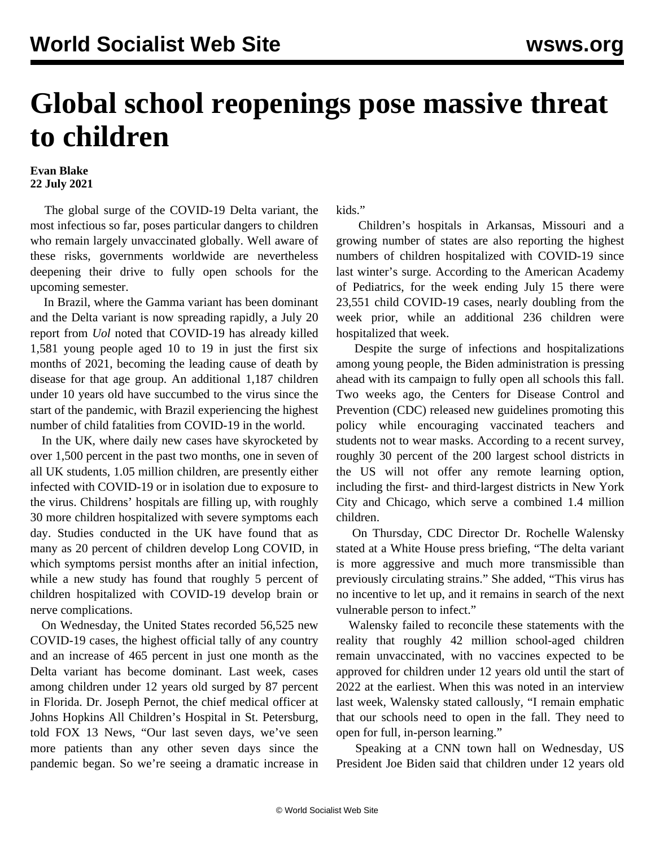## **Global school reopenings pose massive threat to children**

## **Evan Blake 22 July 2021**

 The global surge of the COVID-19 Delta variant, the most infectious so far, poses particular dangers to children who remain largely unvaccinated globally. Well aware of these risks, governments worldwide are nevertheless deepening their drive to fully open schools for the upcoming semester.

 In Brazil, where the Gamma variant has been dominant and the Delta variant is now spreading rapidly, a July 20 report from *Uol* noted that COVID-19 has already killed 1,581 young people aged 10 to 19 in just the first six months of 2021, becoming the leading cause of death by disease for that age group. An additional 1,187 children under 10 years old have succumbed to the virus since the start of the pandemic, with Brazil experiencing the highest number of child fatalities from COVID-19 in the world.

 In the UK, where daily new cases have skyrocketed by over 1,500 percent in the past two months, one in seven of all UK students, 1.05 million children, are presently either infected with COVID-19 or in isolation due to exposure to the virus. Childrens' hospitals are filling up, with roughly 30 more children hospitalized with severe symptoms each day. Studies conducted in the UK have found that as many as 20 percent of children develop Long COVID, in which symptoms persist months after an initial infection, while a new study has found that roughly 5 percent of children hospitalized with COVID-19 develop brain or nerve complications.

 On Wednesday, the United States recorded 56,525 new COVID-19 cases, the highest official tally of any country and an increase of 465 percent in just one month as the Delta variant has become dominant. Last week, cases among children under 12 years old surged by 87 percent in Florida. Dr. Joseph Pernot, the chief medical officer at Johns Hopkins All Children's Hospital in St. Petersburg, told FOX 13 News, "Our last seven days, we've seen more patients than any other seven days since the pandemic began. So we're seeing a dramatic increase in kids."

 Children's hospitals in Arkansas, Missouri and a growing number of states are also reporting the highest numbers of children hospitalized with COVID-19 since last winter's surge. According to the American Academy of Pediatrics, for the week ending July 15 there were 23,551 child COVID-19 cases, nearly doubling from the week prior, while an additional 236 children were hospitalized that week.

 Despite the surge of infections and hospitalizations among young people, the Biden administration is pressing ahead with its campaign to fully open all schools this fall. Two weeks ago, the Centers for Disease Control and Prevention (CDC) released new guidelines promoting this policy while encouraging vaccinated teachers and students not to wear masks. According to a recent survey, roughly 30 percent of the 200 largest school districts in the US will not offer any remote learning option, including the first- and third-largest districts in New York City and Chicago, which serve a combined 1.4 million children.

 On Thursday, CDC Director Dr. Rochelle Walensky stated at a White House press briefing, "The delta variant is more aggressive and much more transmissible than previously circulating strains." She added, "This virus has no incentive to let up, and it remains in search of the next vulnerable person to infect."

 Walensky failed to reconcile these statements with the reality that roughly 42 million school-aged children remain unvaccinated, with no vaccines expected to be approved for children under 12 years old until the start of 2022 at the earliest. When this was noted in an interview last week, Walensky stated callously, "I remain emphatic that our schools need to open in the fall. They need to open for full, in-person learning."

 Speaking at a CNN town hall on Wednesday, US President Joe Biden said that children under 12 years old